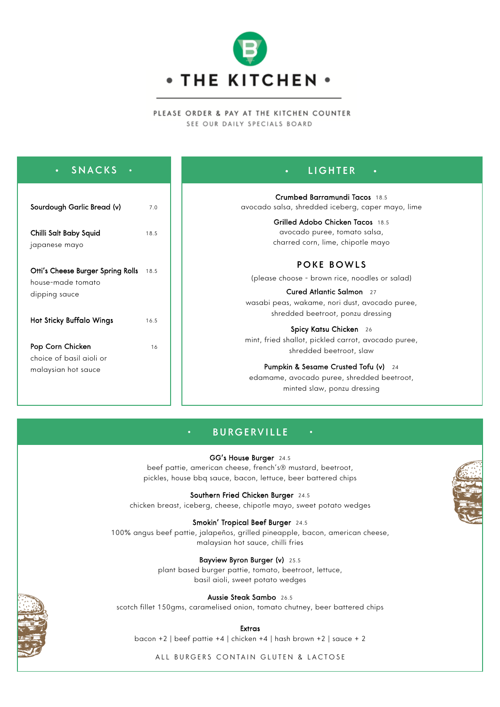

### PLEASE ORDER & PAY AT THE KITCHEN COUNTER SEE OUR DAILY SPECIALS BOARD

| <b>SNACKS</b><br>$\bullet$<br>$\bullet$                                                                    |              | <b>LIGHTER</b><br>$\bullet$<br>$\bullet$ .                                                                                                                                                                                               |
|------------------------------------------------------------------------------------------------------------|--------------|------------------------------------------------------------------------------------------------------------------------------------------------------------------------------------------------------------------------------------------|
| Sourdough Garlic Bread (v)<br>Chilli Salt Baby Squid<br>japanese mayo                                      | 7.0<br>18.5  | Crumbed Barramundi Tacos 18.5<br>avocado salsa, shredded iceberg, caper mayo, lime<br>Grilled Adobo Chicken Tacos 18.5<br>avocado puree, tomato salsa,<br>charred corn, lime, chipotle mayo                                              |
| Otti's Cheese Burger Spring Rolls<br>house-made tomato<br>dipping sauce<br><b>Hot Sticky Buffalo Wings</b> | 18.5<br>16.5 | POKE BOWLS<br>(please choose - brown rice, noodles or salad)<br>Cured Atlantic Salmon 27<br>wasabi peas, wakame, nori dust, avocado puree,<br>shredded beetroot, ponzu dressing                                                          |
| Pop Corn Chicken<br>choice of basil aioli or<br>malaysian hot sauce                                        | 16           | Spicy Katsu Chicken 26<br>mint, fried shallot, pickled carrot, avocado puree,<br>shredded beetroot, slaw<br><b>Pumpkin &amp; Sesame Crusted Tofu (v)</b> 24<br>edamame, avocado puree, shredded beetroot,<br>minted slaw, ponzu dressing |

# BURGERVILLE

GG's House Burger 24.5 beef pattie, american cheese, french's® mustard, beetroot, pickles, house bbq sauce, bacon, lettuce, beer battered chips

Southern Fried Chicken Burger 24.5 chicken breast, iceberg, cheese, chipotle mayo, sweet potato wedges

Smokin' Tropical Beef Burger 24.5 100% angus beef pattie, jalapeños, grilled pineapple, bacon, american cheese, malaysian hot sauce, chilli fries

> Bayview Byron Burger (v) 25.5 plant based burger pattie, tomato, beetroot, lettuce, basil aioli, sweet potato wedges

Aussie Steak Sambo 26.5 scotch fillet 150gms, caramelised onion, tomato chutney, beer battered chips

#### Extras

bacon +2 | beef pattie +4 | chicken +4 | hash brown +2 | sauce + 2

ALL BURGERS CONTAIN GLUTEN & LACTOSE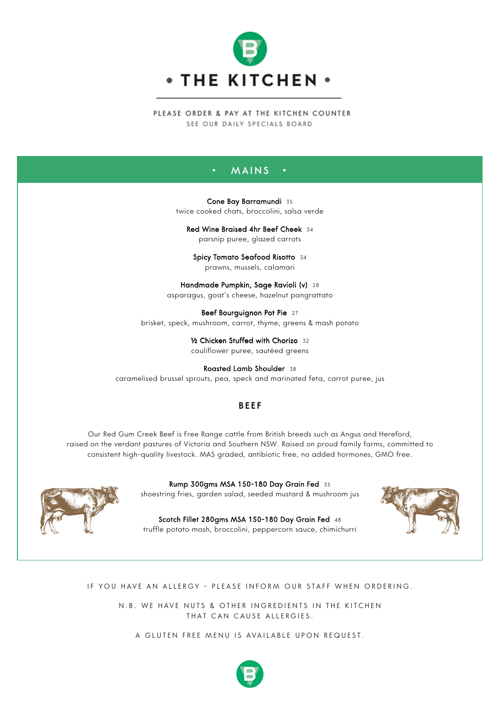

PLEASE ORDER & PAY AT THE KITCHEN COUNTER SEE OUR DAILY SPECIALS BOARD

## MAINS

 Cone Bay Barramundi 35 twice cooked chats, broccolini, salsa verde

Red Wine Braised 4hr Beef Cheek 34 parsnip puree, glazed carrots

Spicy Tomato Seafood Risotto 34 prawns, mussels, calamari

Handmade Pumpkin, Sage Ravioli (v) 28 asparagus, goat's cheese, hazelnut pangrattato

Beef Bourguignon Pot Pie 27 brisket, speck, mushroom, carrot, thyme, greens & mash potato

> ½ Chicken Stuffed with Chorizo 32 cauliflower puree, sautéed greens

Roasted Lamb Shoulder 38 caramelised brussel sprouts, pea, speck and marinated feta, carrot puree, jus

## BEEF BEEF

Our Red Gum Creek Beef is Free Range cattle from British breeds such as Angus and Hereford, raised on the verdant pastures of Victoria and Southern NSW. Raised on proud family farms, committed to consistent high-quality livestock. MAS graded, antibiotic free, no added hormones, GMO free.



Rump 300gms MSA 150-180 Day Grain Fed 35 shoestring fries, garden salad, seeded mustard & mushroom jus

Scotch Fillet 280gms MSA 150-180 Day Grain Fed 48 truffle potato mash, broccolini, peppercorn sauce, chimichurri



## IF YOU HAVE AN ALLERGY - PLEASE INFORM OUR STAFF WHEN ORDERING.

N.B. WE HAVE NUTS & OTHER INGREDIENTS IN THE KITCHEN THAT CAN CAUSE ALLERGIES.

A GLUTEN FREE MENU IS AVAILABLE UPON REQUEST.